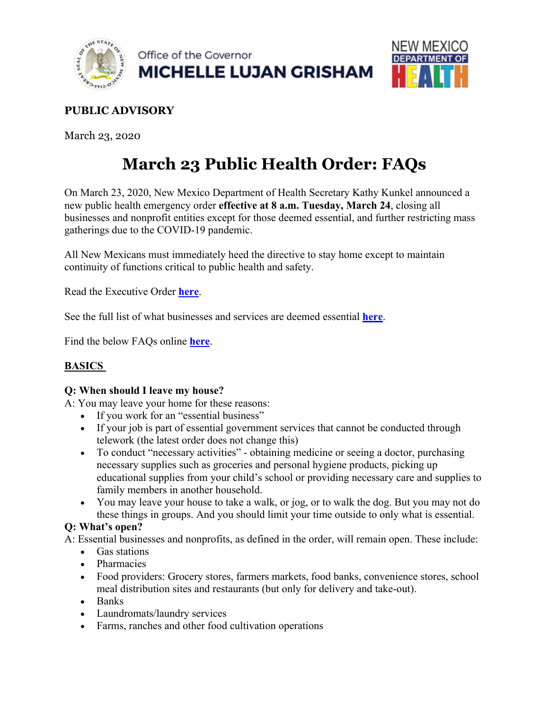



# **PUBLIC ADVISORY**

March 23, 2020

# **March 23 Public Health Order: FAQs**

On March 23, 2020, New Mexico Department of Health Secretary Kathy Kunkel announced a new public health emergency order **effective at 8 a.m. Tuesday, March 24**, closing all businesses and nonprofit entities except for those deemed essential, and further restricting mass gatherings due to the COVID-19 pandemic.

All New Mexicans must immediately heed the directive to stay home except to maintain continuity of functions critical to public health and safety.

Read the Executive Order **here**.

See the full list of what businesses and services are deemed essential **here**.

Find the below FAQs online **here**.

# **BASICS**

#### **Q: When should I leave my house?**

A: You may leave your home for these reasons:

- If you work for an "essential business"
- If your job is part of essential government services that cannot be conducted through telework (the latest order does not change this)
- To conduct "necessary activities" obtaining medicine or seeing a doctor, purchasing necessary supplies such as groceries and personal hygiene products, picking up educational supplies from your child's school or providing necessary care and supplies to family members in another household.
- You may leave your house to take a walk, or jog, or to walk the dog. But you may not do these things in groups. And you should limit your time outside to only what is essential.

#### **Q: What's open?**

A: Essential businesses and nonprofits, as defined in the order, will remain open. These include:

- Gas stations
- Pharmacies
- Food providers: Grocery stores, farmers markets, food banks, convenience stores, school meal distribution sites and restaurants (but only for delivery and take-out).
- Banks
- Laundromats/laundry services
- Farms, ranches and other food cultivation operations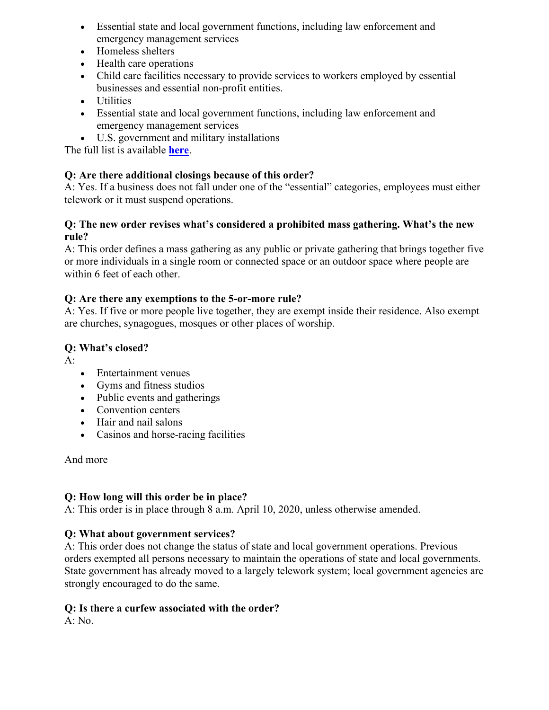- Essential state and local government functions, including law enforcement and emergency management services
- Homeless shelters
- Health care operations
- Child care facilities necessary to provide services to workers employed by essential businesses and essential non-profit entities.
- Utilities
- Essential state and local government functions, including law enforcement and emergency management services
- U.S. government and military installations

The full list is available **here**.

#### **Q: Are there additional closings because of this order?**

A: Yes. If a business does not fall under one of the "essential" categories, employees must either telework or it must suspend operations.

#### **Q: The new order revises what's considered a prohibited mass gathering. What's the new rule?**

A: This order defines a mass gathering as any public or private gathering that brings together five or more individuals in a single room or connected space or an outdoor space where people are within 6 feet of each other.

#### **Q: Are there any exemptions to the 5-or-more rule?**

A: Yes. If five or more people live together, they are exempt inside their residence. Also exempt are churches, synagogues, mosques or other places of worship.

# **Q: What's closed?**

 $A$ :

- Entertainment venues
- Gyms and fitness studios
- Public events and gatherings
- Convention centers
- Hair and nail salons
- Casinos and horse-racing facilities

And more

#### **Q: How long will this order be in place?**

A: This order is in place through 8 a.m. April 10, 2020, unless otherwise amended.

# **Q: What about government services?**

A: This order does not change the status of state and local government operations. Previous orders exempted all persons necessary to maintain the operations of state and local governments. State government has already moved to a largely telework system; local government agencies are strongly encouraged to do the same.

#### **Q: Is there a curfew associated with the order?**

A: No.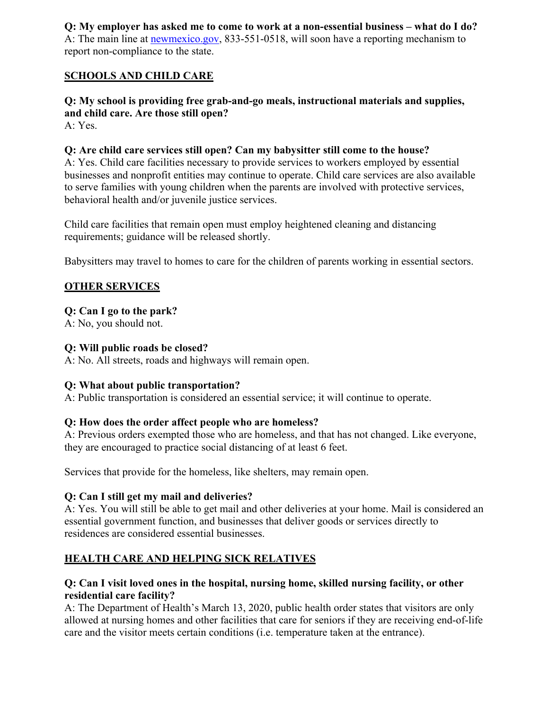#### **Q: My employer has asked me to come to work at a non-essential business – what do I do?** A: The main line at **newmexico.gov**, 833-551-0518, will soon have a reporting mechanism to

report non-compliance to the state.

# **SCHOOLS AND CHILD CARE**

# **Q: My school is providing free grab-and-go meals, instructional materials and supplies, and child care. Are those still open?**

A: Yes.

# **Q: Are child care services still open? Can my babysitter still come to the house?**

A: Yes. Child care facilities necessary to provide services to workers employed by essential businesses and nonprofit entities may continue to operate. Child care services are also available to serve families with young children when the parents are involved with protective services, behavioral health and/or juvenile justice services.

Child care facilities that remain open must employ heightened cleaning and distancing requirements; guidance will be released shortly.

Babysitters may travel to homes to care for the children of parents working in essential sectors.

# **OTHER SERVICES**

# **Q: Can I go to the park?**

A: No, you should not.

# **Q: Will public roads be closed?**

A: No. All streets, roads and highways will remain open.

# **Q: What about public transportation?**

A: Public transportation is considered an essential service; it will continue to operate.

# **Q: How does the order affect people who are homeless?**

A: Previous orders exempted those who are homeless, and that has not changed. Like everyone, they are encouraged to practice social distancing of at least 6 feet.

Services that provide for the homeless, like shelters, may remain open.

# **Q: Can I still get my mail and deliveries?**

A: Yes. You will still be able to get mail and other deliveries at your home. Mail is considered an essential government function, and businesses that deliver goods or services directly to residences are considered essential businesses.

# **HEALTH CARE AND HELPING SICK RELATIVES**

# **Q: Can I visit loved ones in the hospital, nursing home, skilled nursing facility, or other residential care facility?**

A: The Department of Health's March 13, 2020, public health order states that visitors are only allowed at nursing homes and other facilities that care for seniors if they are receiving end-of-life care and the visitor meets certain conditions (i.e. temperature taken at the entrance).